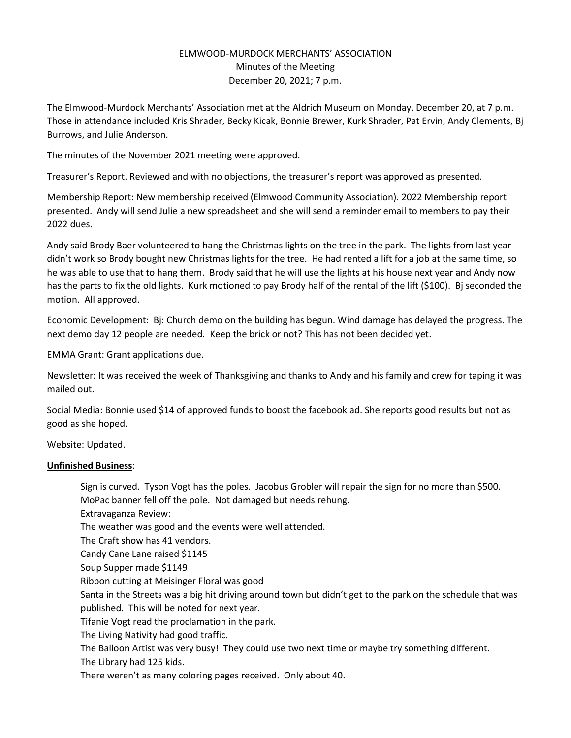## ELMWOOD-MURDOCK MERCHANTS' ASSOCIATION Minutes of the Meeting December 20, 2021; 7 p.m.

The Elmwood-Murdock Merchants' Association met at the Aldrich Museum on Monday, December 20, at 7 p.m. Those in attendance included Kris Shrader, Becky Kicak, Bonnie Brewer, Kurk Shrader, Pat Ervin, Andy Clements, Bj Burrows, and Julie Anderson.

The minutes of the November 2021 meeting were approved.

Treasurer's Report. Reviewed and with no objections, the treasurer's report was approved as presented.

Membership Report: New membership received (Elmwood Community Association). 2022 Membership report presented. Andy will send Julie a new spreadsheet and she will send a reminder email to members to pay their 2022 dues.

Andy said Brody Baer volunteered to hang the Christmas lights on the tree in the park. The lights from last year didn't work so Brody bought new Christmas lights for the tree. He had rented a lift for a job at the same time, so he was able to use that to hang them. Brody said that he will use the lights at his house next year and Andy now has the parts to fix the old lights. Kurk motioned to pay Brody half of the rental of the lift (\$100). Bj seconded the motion. All approved.

Economic Development: Bj: Church demo on the building has begun. Wind damage has delayed the progress. The next demo day 12 people are needed. Keep the brick or not? This has not been decided yet.

EMMA Grant: Grant applications due.

Newsletter: It was received the week of Thanksgiving and thanks to Andy and his family and crew for taping it was mailed out.

Social Media: Bonnie used \$14 of approved funds to boost the facebook ad. She reports good results but not as good as she hoped.

Website: Updated.

## **Unfinished Business**:

Sign is curved. Tyson Vogt has the poles. Jacobus Grobler will repair the sign for no more than \$500. MoPac banner fell off the pole. Not damaged but needs rehung.

Extravaganza Review:

The weather was good and the events were well attended.

The Craft show has 41 vendors.

Candy Cane Lane raised \$1145

Soup Supper made \$1149

Ribbon cutting at Meisinger Floral was good

Santa in the Streets was a big hit driving around town but didn't get to the park on the schedule that was published. This will be noted for next year.

Tifanie Vogt read the proclamation in the park.

The Living Nativity had good traffic.

The Balloon Artist was very busy! They could use two next time or maybe try something different. The Library had 125 kids.

There weren't as many coloring pages received. Only about 40.